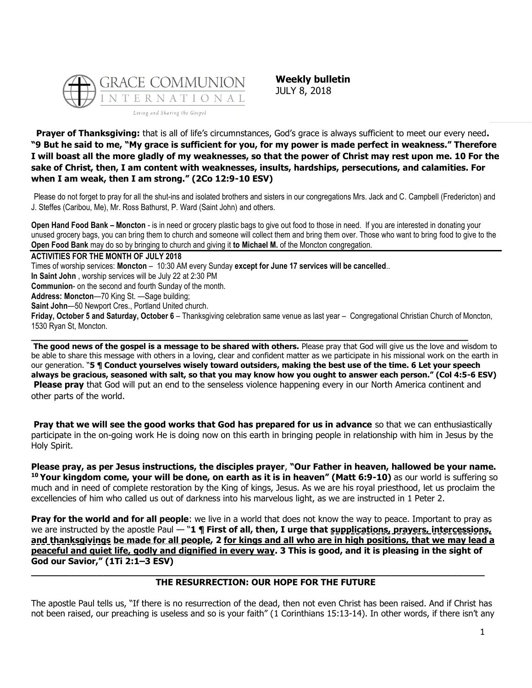

**Weekly bulletin** JULY 8, 2018

**Prayer of Thanksgiving:** that is all of life's circumnstances, God's grace is always sufficient to meet our every need**. "9 But he said to me, "My grace is sufficient for you, for my power is made perfect in weakness." Therefore I will boast all the more gladly of my weaknesses, so that the power of Christ may rest upon me. 10 For the sake of Christ, then, I am content with weaknesses, insults, hardships, persecutions, and calamities. For when I am weak, then I am strong." (2Co 12:9-10 ESV)**

Please do not forget to pray for all the shut-ins and isolated brothers and sisters in our congregations Mrs. Jack and C. Campbell (Fredericton) and J. Steffes (Caribou, Me), Mr. Ross Bathurst, P. Ward (Saint John) and others.

**Open Hand Food Bank – Moncton** - is in need or grocery plastic bags to give out food to those in need. If you are interested in donating your unused grocery bags, you can bring them to church and someone will collect them and bring them over. Those who want to bring food to give to the **Open Food Bank** may do so by bringing to church and giving it **to Michael M.** of the Moncton congregation.

#### **ACTIVITIES FOR THE MONTH OF JULY 2018**

Times of worship services: **Moncton** – 10:30 AM every Sunday **except for June 17 services will be cancelled**..

**In Saint John** , worship services will be July 22 at 2:30 PM

**Communion**- on the second and fourth Sunday of the month.

**Address: Moncton**—70 King St. —Sage building;

**Saint John**—50 Newport Cres., Portland United church.

**Friday, October 5 and Saturday, October 6** – Thanksgiving celebration same venue as last year – Congregational Christian Church of Moncton, 1530 Ryan St, Moncton.

**\_\_\_\_\_\_\_\_\_\_\_\_\_\_\_\_\_\_\_\_\_\_\_\_\_\_\_\_\_\_\_\_\_\_\_\_\_\_\_\_\_\_\_\_\_\_\_\_\_\_\_\_\_\_\_\_\_\_\_\_\_\_\_\_\_\_\_\_\_\_\_\_\_\_\_\_\_\_\_**

**The good news of the gospel is a message to be shared with others.** Please pray that God will give us the love and wisdom to be able to share this message with others in a loving, clear and confident matter as we participate in his missional work on the earth in our generation. "**5 ¶ Conduct yourselves wisely toward outsiders, making the best use of the time. 6 Let your speech always be gracious, seasoned with salt, so that you may know how you ought to answer each person." (Col 4:5-6 ESV) Please pray** that God will put an end to the senseless violence happening every in our North America continent and other parts of the world.

**Pray that we will see the good works that God has prepared for us in advance** so that we can enthusiastically participate in the on-going work He is doing now on this earth in bringing people in relationship with him in Jesus by the Holy Spirit.

**Please pray, as per Jesus instructions, the disciples prayer**, **"Our Father in heaven, hallowed be your name. <sup>10</sup> Your kingdom come, your will be done, on earth as it is in heaven" (Matt 6:9-10)** as our world is suffering so much and in need of complete restoration by the King of kings, Jesus. As we are his royal priesthood, let us proclaim the excellencies of him who called us out of darkness into his marvelous light, as we are instructed in 1 Peter 2.

**Pray for the world and for all people**: we live in a world that does not know the way to peace. Important to pray as we are instructed by the apostle Paul — "**1 ¶ First of all, then, I urge that supplications, prayers, intercessions, and thanksgivings be made for all people, 2 for kings and all who are in high positions, that we may lead a peaceful and quiet life, godly and dignified in every way. 3 This is good, and it is pleasing in the sight of God our Savior," (1Ti 2:1–3 ESV)**

#### **THE RESURRECTION: OUR HOPE FOR THE FUTURE**

**\_\_\_\_\_\_\_\_\_\_\_\_\_\_\_\_\_\_\_\_\_\_\_\_\_\_\_\_\_\_\_\_\_\_\_\_\_\_\_\_\_\_\_\_\_\_\_\_\_\_\_\_\_\_\_\_\_\_\_\_\_\_\_\_\_\_\_\_\_\_\_\_\_\_\_\_\_\_\_\_\_\_**

The apostle Paul tells us, "If there is no resurrection of the dead, then not even Christ has been raised. And if Christ has not been raised, our preaching is useless and so is your faith" ([1 Corinthians 15:13-14](https://biblia.com/bible/niv/1%20Cor%2015.13-14)). In other words, if there isn't any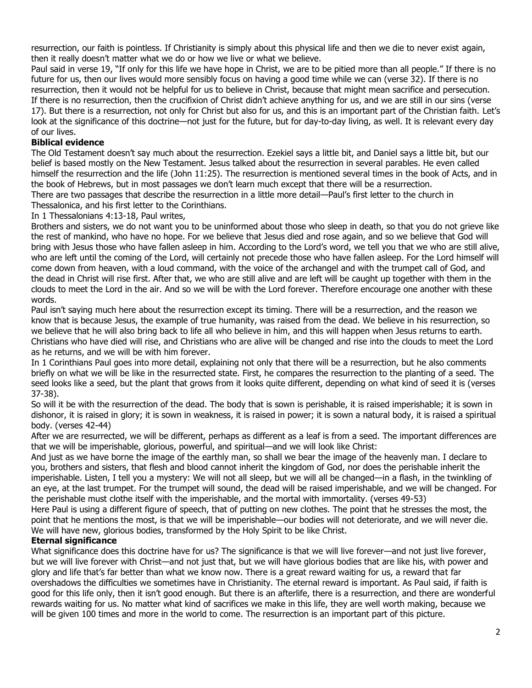resurrection, our faith is pointless. If Christianity is simply about this physical life and then we die to never exist again, then it really doesn't matter what we do or how we live or what we believe.

Paul said in verse 19, "If only for this life we have hope in Christ, we are to be pitied more than all people." If there is no future for us, then our lives would more sensibly focus on having a good time while we can (verse 32). If there is no resurrection, then it would not be helpful for us to believe in Christ, because that might mean sacrifice and persecution. If there is no resurrection, then the crucifixion of Christ didn't achieve anything for us, and we are still in our sins (verse 17). But there is a resurrection, not only for Christ but also for us, and this is an important part of the Christian faith. Let's look at the significance of this doctrine—not just for the future, but for day-to-day living, as well. It is relevant every day of our lives.

#### **Biblical evidence**

The Old Testament doesn't say much about the resurrection. Ezekiel says a little bit, and Daniel says a little bit, but our belief is based mostly on the New Testament. Jesus talked about the resurrection in several parables. He even called himself the resurrection and the life [\(John 11:25\)](https://biblia.com/bible/niv/John%2011.25). The resurrection is mentioned several times in the book of Acts, and in the book of Hebrews, but in most passages we don't learn much except that there will be a resurrection. There are two passages that describe the resurrection in a little more detail—Paul's first letter to the church in Thessalonica, and his first letter to the Corinthians.

In [1 Thessalonians 4:13-18,](https://biblia.com/bible/niv/1%20Thess%204.13-18) Paul writes,

Brothers and sisters, we do not want you to be uninformed about those who sleep in death, so that you do not grieve like the rest of mankind, who have no hope. For we believe that Jesus died and rose again, and so we believe that God will bring with Jesus those who have fallen asleep in him. According to the Lord's word, we tell you that we who are still alive, who are left until the coming of the Lord, will certainly not precede those who have fallen asleep. For the Lord himself will come down from heaven, with a loud command, with the voice of the archangel and with the trumpet call of God, and the dead in Christ will rise first. After that, we who are still alive and are left will be caught up together with them in the clouds to meet the Lord in the air. And so we will be with the Lord forever. Therefore encourage one another with these words.

Paul isn't saying much here about the resurrection except its timing. There will be a resurrection, and the reason we know that is because Jesus, the example of true humanity, was raised from the dead. We believe in his resurrection, so we believe that he will also bring back to life all who believe in him, and this will happen when Jesus returns to earth. Christians who have died will rise, and Christians who are alive will be changed and rise into the clouds to meet the Lord as he returns, and we will be with him forever.

In 1 Corinthians Paul goes into more detail, explaining not only that there will be a resurrection, but he also comments briefly on what we will be like in the resurrected state. First, he compares the resurrection to the planting of a seed. The seed looks like a seed, but the plant that grows from it looks quite different, depending on what kind of seed it is (verses 37-38).

So will it be with the resurrection of the dead. The body that is sown is perishable, it is raised imperishable; it is sown in dishonor, it is raised in glory; it is sown in weakness, it is raised in power; it is sown a natural body, it is raised a spiritual body. (verses 42-44)

After we are resurrected, we will be different, perhaps as different as a leaf is from a seed. The important differences are that we will be imperishable, glorious, powerful, and spiritual—and we will look like Christ:

And just as we have borne the image of the earthly man, so shall we bear the image of the heavenly man. I declare to you, brothers and sisters, that flesh and blood cannot inherit the kingdom of God, nor does the perishable inherit the imperishable. Listen, I tell you a mystery: We will not all sleep, but we will all be changed—in a flash, in the twinkling of an eye, at the last trumpet. For the trumpet will sound, the dead will be raised imperishable, and we will be changed. For the perishable must clothe itself with the imperishable, and the mortal with immortality. (verses 49-53)

Here Paul is using a different figure of speech, that of putting on new clothes. The point that he stresses the most, the point that he mentions the most, is that we will be imperishable—our bodies will not deteriorate, and we will never die. We will have new, glorious bodies, transformed by the Holy Spirit to be like Christ.

## **Eternal significance**

What significance does this doctrine have for us? The significance is that we will live forever—and not just live forever, but we will live forever with Christ—and not just that, but we will have glorious bodies that are like his, with power and glory and life that's far better than what we know now. There is a great reward waiting for us, a reward that far overshadows the difficulties we sometimes have in Christianity. The eternal reward is important. As Paul said, if faith is good for this life only, then it isn't good enough. But there is an afterlife, there is a resurrection, and there are wonderful rewards waiting for us. No matter what kind of sacrifices we make in this life, they are well worth making, because we will be given 100 times and more in the world to come. The resurrection is an important part of this picture.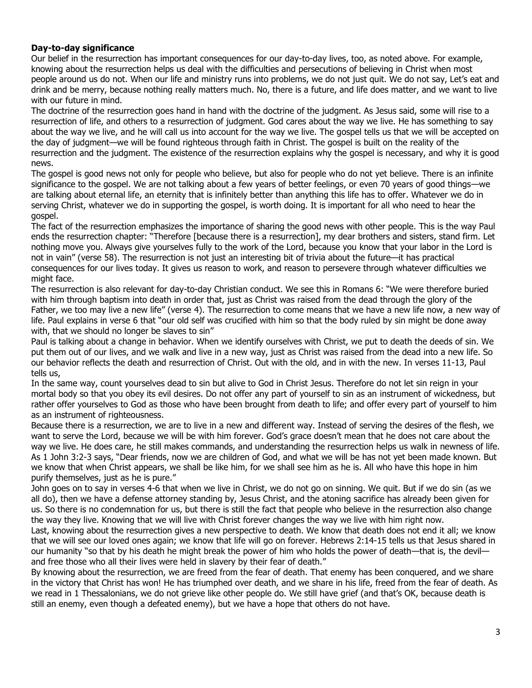### **Day-to-day significance**

Our belief in the resurrection has important consequences for our day-to-day lives, too, as noted above. For example, knowing about the resurrection helps us deal with the difficulties and persecutions of believing in Christ when most people around us do not. When our life and ministry runs into problems, we do not just quit. We do not say, Let's eat and drink and be merry, because nothing really matters much. No, there is a future, and life does matter, and we want to live with our future in mind.

The doctrine of the resurrection goes hand in hand with the doctrine of the judgment. As Jesus said, some will rise to a resurrection of life, and others to a resurrection of judgment. God cares about the way we live. He has something to say about the way we live, and he will call us into account for the way we live. The gospel tells us that we will be accepted on the day of judgment—we will be found righteous through faith in Christ. The gospel is built on the reality of the resurrection and the judgment. The existence of the resurrection explains why the gospel is necessary, and why it is good news.

The gospel is good news not only for people who believe, but also for people who do not yet believe. There is an infinite significance to the gospel. We are not talking about a few years of better feelings, or even 70 years of good things—we are talking about eternal life, an eternity that is infinitely better than anything this life has to offer. Whatever we do in serving Christ, whatever we do in supporting the gospel, is worth doing. It is important for all who need to hear the gospel.

The fact of the resurrection emphasizes the importance of sharing the good news with other people. This is the way Paul ends the resurrection chapter: "Therefore [because there is a resurrection], my dear brothers and sisters, stand firm. Let nothing move you. Always give yourselves fully to the work of the Lord, because you know that your labor in the Lord is not in vain" (verse 58). The resurrection is not just an interesting bit of trivia about the future—it has practical consequences for our lives today. It gives us reason to work, and reason to persevere through whatever difficulties we might face.

The resurrection is also relevant for day-to-day Christian conduct. We see this in Romans 6: "We were therefore buried with him through baptism into death in order that, just as Christ was raised from the dead through the glory of the Father, we too may live a new life" (verse 4). The resurrection to come means that we have a new life now, a new way of life. Paul explains in verse 6 that "our old self was crucified with him so that the body ruled by sin might be done away with, that we should no longer be slaves to sin"

Paul is talking about a change in behavior. When we identify ourselves with Christ, we put to death the deeds of sin. We put them out of our lives, and we walk and live in a new way, just as Christ was raised from the dead into a new life. So our behavior reflects the death and resurrection of Christ. Out with the old, and in with the new. In verses 11-13, Paul tells us,

In the same way, count yourselves dead to sin but alive to God in Christ Jesus. Therefore do not let sin reign in your mortal body so that you obey its evil desires. Do not offer any part of yourself to sin as an instrument of wickedness, but rather offer yourselves to God as those who have been brought from death to life; and offer every part of yourself to him as an instrument of righteousness.

Because there is a resurrection, we are to live in a new and different way. Instead of serving the desires of the flesh, we want to serve the Lord, because we will be with him forever. God's grace doesn't mean that he does not care about the way we live. He does care, he still makes commands, and understanding the resurrection helps us walk in newness of life. As [1 John 3:2-3](https://biblia.com/bible/niv/1%20John%203.2-3) says, "Dear friends, now we are children of God, and what we will be has not yet been made known. But we know that when Christ appears, we shall be like him, for we shall see him as he is. All who have this hope in him purify themselves, just as he is pure."

John goes on to say in verses 4-6 that when we live in Christ, we do not go on sinning. We quit. But if we do sin (as we all do), then we have a defense attorney standing by, Jesus Christ, and the atoning sacrifice has already been given for us. So there is no condemnation for us, but there is still the fact that people who believe in the resurrection also change the way they live. Knowing that we will live with Christ forever changes the way we live with him right now.

Last, knowing about the resurrection gives a new perspective to death. We know that death does not end it all; we know that we will see our loved ones again; we know that life will go on forever. [Hebrews 2:14-15](https://biblia.com/bible/niv/Heb%202.14-15) tells us that Jesus shared in our humanity "so that by his death he might break the power of him who holds the power of death—that is, the devil and free those who all their lives were held in slavery by their fear of death."

By knowing about the resurrection, we are freed from the fear of death. That enemy has been conquered, and we share in the victory that Christ has won! He has triumphed over death, and we share in his life, freed from the fear of death. As we read in 1 Thessalonians, we do not grieve like other people do. We still have grief (and that's OK, because death is still an enemy, even though a defeated enemy), but we have a hope that others do not have.